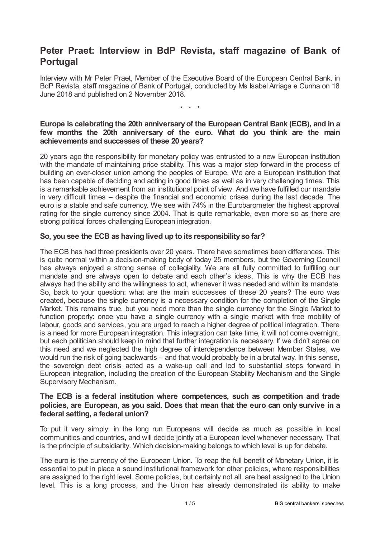# **Peter Praet: Interview in BdP Revista, staff magazine of Bank of Portugal**

Interview with Mr Peter Praet, Member of the Executive Board of the European Central Bank, in BdP Revista, staff magazine of Bank of Portugal, conducted by Ms Isabel Arriaga e Cunha on 18 June 2018 and published on 2 November 2018.

\* \* \*

## **Europe is celebrating the 20th anniversaryof the European Central Bank (ECB), and in a few months the 20th anniversary of the euro. What do you think are the main achievements and successes of these 20 years?**

20 years ago the responsibility for monetary policy was entrusted to a new European institution with the mandate of maintaining price stability. This was a major step forward in the process of building an ever-closer union among the peoples of Europe. We are a European institution that has been capable of deciding and acting in good times as well as in very challenging times. This is a remarkable achievement from an institutional point of view. And we have fulfilled our mandate in very difficult times – despite the financial and economic crises during the last decade. The euro is a stable and safe currency. We see with 74% in the Eurobarometer the highest approval rating for the single currency since 2004. That is quite remarkable, even more so as there are strong political forces challenging European integration.

# **So, you see the ECB as having lived up to its responsibilityso far?**

The ECB has had three presidents over 20 years. There have sometimes been differences. This is quite normal within a decision-making body of today 25 members, but the Governing Council has always enjoyed a strong sense of collegiality. We are all fully committed to fulfilling our mandate and are always open to debate and each other's ideas. This is why the ECB has always had the ability and the willingness to act, whenever it was needed and within its mandate. So, back to your question: what are the main successes of these 20 years? The euro was created, because the single currency is a necessary condition for the completion of the Single Market. This remains true, but you need more than the single currency for the Single Market to function properly: once you have a single currency with a single market with free mobility of labour, goods and services, you are urged to reach a higher degree of political integration. There is a need for more European integration. This integration can take time, it will not come overnight, but each politician should keep in mind that further integration is necessary. If we didn't agree on this need and we neglected the high degree of interdependence between Member States, we would run the risk of going backwards – and that would probably be in a brutal way. In this sense, the sovereign debt crisis acted as a wake-up call and led to substantial steps forward in European integration, including the creation of the European Stability Mechanism and the Single Supervisory Mechanism.

## **The ECB is a federal institution where competences, such as competition and trade policies, are European, as you said. Does that mean that the euro can only survive in a federal setting, a federal union?**

To put it very simply: in the long run Europeans will decide as much as possible in local communities and countries, and will decide jointly at a European level whenever necessary. That is the principle of subsidiarity. Which decision-making belongs to which level is up for debate.

The euro is the currency of the European Union. To reap the full benefit of Monetary Union, it is essential to put in place a sound institutional framework for other policies, where responsibilities are assigned to the right level. Some policies, but certainly not all, are best assigned to the Union level. This is a long process, and the Union has already demonstrated its ability to make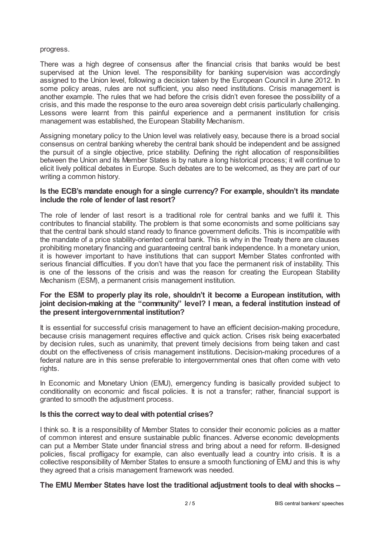#### progress.

There was a high degree of consensus after the financial crisis that banks would be best supervised at the Union level. The responsibility for banking supervision was accordingly assigned to the Union level, following a decision taken by the European Council in June 2012. In some policy areas, rules are not sufficient, you also need institutions. Crisis management is another example. The rules that we had before the crisis didn't even foresee the possibility of a crisis, and this made the response to the euro area sovereign debt crisis particularly challenging. Lessons were learnt from this painful experience and a permanent institution for crisis management was established, the European Stability Mechanism.

Assigning monetary policy to the Union level was relatively easy, because there is a broad social consensus on central banking whereby the central bank should be independent and be assigned the pursuit of a single objective, price stability. Defining the right allocation of responsibilities between the Union and its Member States is by nature a long historical process; it will continue to elicit lively political debates in Europe. Such debates are to be welcomed, as they are part of our writing a common history.

#### **Is the ECB's mandate enough for a single currency? For example, shouldn't its mandate include the role of lender of last resort?**

The role of lender of last resort is a traditional role for central banks and we fulfil it. This contributes to financial stability. The problem is that some economists and some politicians say that the central bank should stand ready to finance government deficits. This is incompatible with the mandate of a price stability-oriented central bank. This is why in the Treaty there are clauses prohibiting monetary financing and guaranteeing central bank independence. In a monetary union, it is however important to have institutions that can support Member States confronted with serious financial difficulties. If you don't have that you face the permanent risk of instability. This is one of the lessons of the crisis and was the reason for creating the European Stability Mechanism (ESM), a permanent crisis management institution.

## **For the ESM to properly play its role, shouldn't it become a European institution, with joint decision-making at the "community" level? I mean, a federal institution instead of the present intergovernmental institution?**

It is essential for successful crisis management to have an efficient decision-making procedure, because crisis management requires effective and quick action. Crises risk being exacerbated by decision rules, such as unanimity, that prevent timely decisions from being taken and cast doubt on the effectiveness of crisis management institutions. Decision-making procedures of a federal nature are in this sense preferable to intergovernmental ones that often come with veto rights.

In Economic and Monetary Union (EMU), emergency funding is basically provided subject to conditionality on economic and fiscal policies. It is not a transfer; rather, financial support is granted to smooth the adjustment process.

#### **Is this the correct wayto deal with potential crises?**

I think so. It is a responsibility of Member States to consider their economic policies as a matter of common interest and ensure sustainable public finances. Adverse economic developments can put a Member State under financial stress and bring about a need for reform. Ill-designed policies, fiscal profligacy for example, can also eventually lead a country into crisis. It is a collective responsibility of Member States to ensure a smooth functioning of EMU and this is why they agreed that a crisis management framework was needed.

#### **The EMU Member States have lost the traditional adjustment tools to deal with shocks –**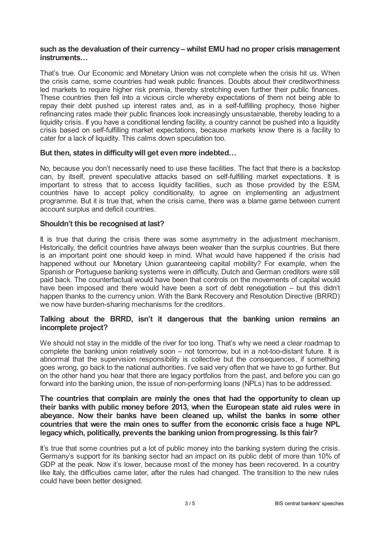#### **such as the devaluation of their currency – whilst EMU had no proper crisis management instruments…**

That's true. Our Economic and Monetary Union was not complete when the crisis hit us. When the crisis came, some countries had weak public finances. Doubts about their creditworthiness led markets to require higher risk premia, thereby stretching even further their public finances. These countries then fell into a vicious circle whereby expectations of them not being able to repay their debt pushed up interest rates and, as in a self-fulfilling prophecy, those higher refinancing rates made their public finances look increasingly unsustainable, thereby leading to a liquidity crisis. If you have a conditional lending facility, a country cannot be pushed into a liquidity crisis based on self-fulfilling market expectations, because markets know there is a facility to cater for a lack of liquidity. This calms down speculation too.

## **But then, states in difficultywill get even more indebted…**

No, because you don't necessarily need to use these facilities. The fact that there is a backstop can, by itself, prevent speculative attacks based on self-fulfilling market expectations. It is important to stress that to access liquidity facilities, such as those provided by the ESM, countries have to accept policy conditionality, to agree on implementing an adjustment programme. But it is true that, when the crisis came, there was a blame game between current account surplus and deficit countries.

## **Shouldn't this be recognised at last?**

It is true that during the crisis there was some asymmetry in the adjustment mechanism. Historically, the deficit countries have always been weaker than the surplus countries. But there is an important point one should keep in mind. What would have happened if the crisis had happened without our Monetary Union guaranteeing capital mobility? For example, when the Spanish or Portuguese banking systems were in difficulty, Dutch and German creditors were still paid back. The counterfactual would have been that controls on the movements of capital would have been imposed and there would have been a sort of debt renegotiation – but this didn't happen thanks to the currency union. With the Bank Recovery and Resolution Directive (BRRD) we now have burden-sharing mechanisms for the creditors.

#### **Talking about the BRRD, isn't it dangerous that the banking union remains an incomplete project?**

We should not stay in the middle of the river for too long. That's why we need a clear roadmap to complete the banking union relatively soon – not tomorrow, but in a not-too-distant future. It is abnormal that the supervision responsibility is collective but the consequences, if something goes wrong, go back to the national authorities. I've said very often that we have to go further. But on the other hand you hear that there are legacy portfolios from the past, and before you can go forward into the banking union, the issue of non-performing loans (NPLs) has to be addressed.

## **The countries that complain are mainly the ones that had the opportunity to clean up their banks with public money before 2013, when the European state aid rules were in abeyance. Now their banks have been cleaned up, whilst the banks in some other countries that were the main ones to suffer from the economic crisis face a huge NPL legacywhich, politically, prevents the banking union fromprogressing. Is this fair?**

It's true that some countries put a lot of public money into the banking system during the crisis. Germany's support for its banking sector had an impact on its public debt of more than 10% of GDP at the peak. Now it's lower, because most of the money has been recovered. In a country like Italy, the difficulties came later, after the rules had changed. The transition to the new rules could have been better designed.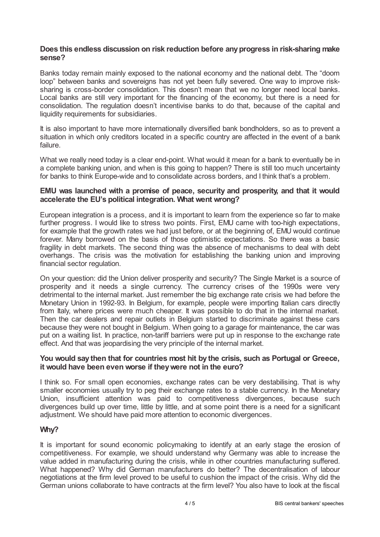## **Does this endless discussion on risk reduction before anyprogress in risk-sharing make sense?**

Banks today remain mainly exposed to the national economy and the national debt. The "doom loop" between banks and sovereigns has not yet been fully severed. One way to improve risksharing is cross-border consolidation. This doesn't mean that we no longer need local banks. Local banks are still very important for the financing of the economy, but there is a need for consolidation. The regulation doesn't incentivise banks to do that, because of the capital and liquidity requirements for subsidiaries.

It is also important to have more internationally diversified bank bondholders, so as to prevent a situation in which only creditors located in a specific country are affected in the event of a bank failure.

What we really need today is a clear end-point. What would it mean for a bank to eventually be in a complete banking union, and when is this going to happen? There is still too much uncertainty for banks to think Europe-wide and to consolidate across borders, and I think that's a problem.

## **EMU was launched with a promise of peace, security and prosperity, and that it would accelerate the EU's political integration. What went wrong?**

European integration is a process, and it is important to learn from the experience so far to make further progress. I would like to stress two points. First, EMU came with too-high expectations, for example that the growth rates we had just before, or at the beginning of, EMU would continue forever. Many borrowed on the basis of those optimistic expectations. So there was a basic fragility in debt markets. The second thing was the absence of mechanisms to deal with debt overhangs. The crisis was the motivation for establishing the banking union and improving financial sector regulation.

On your question: did the Union deliver prosperity and security? The Single Market is a source of prosperity and it needs a single currency. The currency crises of the 1990s were very detrimental to the internal market. Just remember the big exchange rate crisis we had before the Monetary Union in 1992-93. In Belgium, for example, people were importing Italian cars directly from Italy, where prices were much cheaper. It was possible to do that in the internal market. Then the car dealers and repair outlets in Belgium started to discriminate against these cars because they were not bought in Belgium. When going to a garage for maintenance, the car was put on a waiting list. In practice, non-tariff barriers were put up in response to the exchange rate effect. And that was jeopardising the very principle of the internal market.

#### **You would say then that for countries most hit by the crisis, such as Portugal or Greece, it would have been even worse if theywere not in the euro?**

I think so. For small open economies, exchange rates can be very destabilising. That is why smaller economies usually try to peg their exchange rates to a stable currency. In the Monetary Union, insufficient attention was paid to competitiveness divergences, because such divergences build up over time, little by little, and at some point there is a need for a significant adjustment. We should have paid more attention to economic divergences.

# **Why?**

It is important for sound economic policymaking to identify at an early stage the erosion of competitiveness. For example, we should understand why Germany was able to increase the value added in manufacturing during the crisis, while in other countries manufacturing suffered. What happened? Why did German manufacturers do better? The decentralisation of labour negotiations at the firm level proved to be useful to cushion the impact of the crisis. Why did the German unions collaborate to have contracts at the firm level? You also have to look at the fiscal